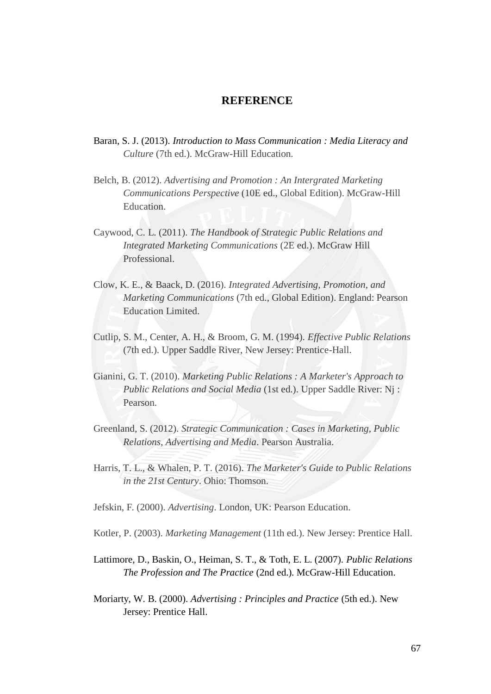## **REFERENCE**

- Baran, S. J. (2013). *Introduction to Mass Communication : Media Literacy and Culture* (7th ed.). McGraw-Hill Education.
- Belch, B. (2012). *Advertising and Promotion : An Intergrated Marketing Communications Perspective* (10E ed., Global Edition). McGraw-Hill Education.
- Caywood, C. L. (2011). *The Handbook of Strategic Public Relations and Integrated Marketing Communications* (2E ed.). McGraw Hill Professional.
- Clow, K. E., & Baack, D. (2016). *Integrated Advertising, Promotion, and Marketing Communications* (7th ed., Global Edition). England: Pearson Education Limited.
- Cutlip, S. M., Center, A. H., & Broom, G. M. (1994). *Effective Public Relations* (7th ed.). Upper Saddle River, New Jersey: Prentice-Hall.
- Gianini, G. T. (2010). *Marketing Public Relations : A Marketer's Approach to Public Relations and Social Media* (1st ed.). Upper Saddle River: Nj : Pearson.
- Greenland, S. (2012). *Strategic Communication : Cases in Marketing, Public Relations, Advertising and Media*. Pearson Australia.
- Harris, T. L., & Whalen, P. T. (2016). *The Marketer's Guide to Public Relations in the 21st Century*. Ohio: Thomson.

Jefskin, F. (2000). *Advertising*. London, UK: Pearson Education.

- Kotler, P. (2003). *Marketing Management* (11th ed.). New Jersey: Prentice Hall.
- Lattimore, D., Baskin, O., Heiman, S. T., & Toth, E. L. (2007). *Public Relations The Profession and The Practice* (2nd ed.). McGraw-Hill Education.
- Moriarty, W. B. (2000). *Advertising : Principles and Practice* (5th ed.). New Jersey: Prentice Hall.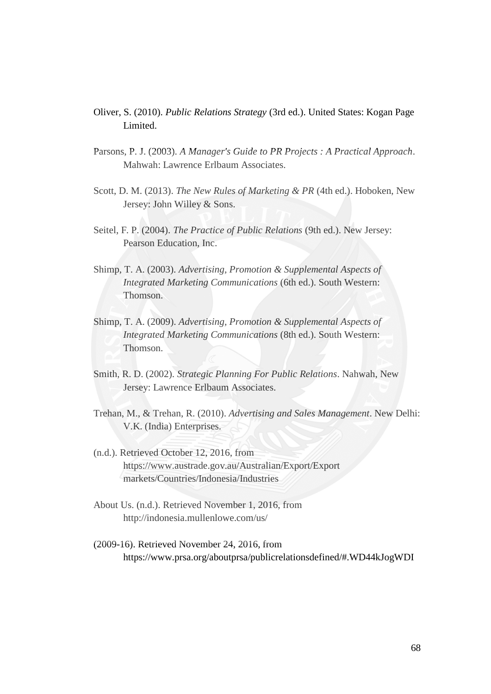- Oliver, S. (2010). *Public Relations Strategy* (3rd ed.). United States: Kogan Page Limited.
- Parsons, P. J. (2003). *A Manager's Guide to PR Projects : A Practical Approach*. Mahwah: Lawrence Erlbaum Associates.
- Scott, D. M. (2013). *The New Rules of Marketing & PR* (4th ed.). Hoboken, New Jersey: John Willey & Sons.
- Seitel, F. P. (2004). *The Practice of Public Relations* (9th ed.). New Jersey: Pearson Education, Inc.
- Shimp, T. A. (2003). *Advertising, Promotion & Supplemental Aspects of Integrated Marketing Communications* (6th ed.). South Western: Thomson.
- Shimp, T. A. (2009). *Advertising, Promotion & Supplemental Aspects of Integrated Marketing Communications* (8th ed.). South Western: Thomson.
- Smith, R. D. (2002). *Strategic Planning For Public Relations*. Nahwah, New Jersey: Lawrence Erlbaum Associates.
- Trehan, M., & Trehan, R. (2010). *Advertising and Sales Management*. New Delhi: V.K. (India) Enterprises.
- (n.d.). Retrieved October 12, 2016, from <https://www.austrade.gov.au/Australian/Export/Export> markets/Countries/Indonesia/Industries
- About Us. (n.d.). Retrieved November 1, 2016, from http://indonesia.mullenlowe.com/us/
- (2009-16). Retrieved November 24, 2016, from https://www.prsa.org/aboutprsa/publicrelationsdefined/#.WD44kJogWDI